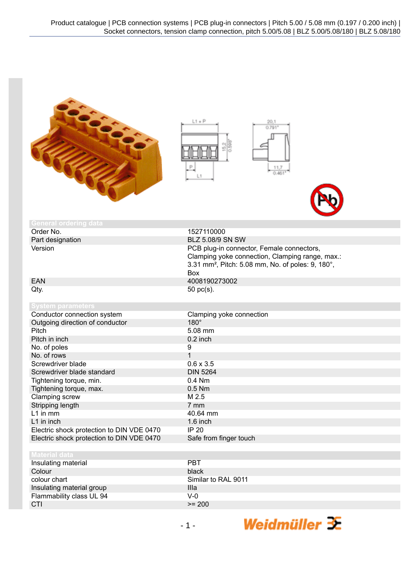



| <b>General ordering data</b>              |                                                                                                                                                                      |
|-------------------------------------------|----------------------------------------------------------------------------------------------------------------------------------------------------------------------|
| Order No.                                 | 1527110000                                                                                                                                                           |
| Part designation                          | BLZ 5.08/9 SN SW                                                                                                                                                     |
| Version                                   | PCB plug-in connector, Female connectors,<br>Clamping yoke connection, Clamping range, max.:<br>3.31 mm <sup>2</sup> , Pitch: 5.08 mm, No. of poles: 9, 180°,<br>Box |
| <b>EAN</b>                                | 4008190273002                                                                                                                                                        |
| Qty.                                      | 50 pc(s).                                                                                                                                                            |
| <b>System parameters</b>                  |                                                                                                                                                                      |
| Conductor connection system               | Clamping yoke connection                                                                                                                                             |
| Outgoing direction of conductor           | $180^\circ$                                                                                                                                                          |
| Pitch                                     | 5.08 mm                                                                                                                                                              |
| Pitch in inch                             | $0.2$ inch                                                                                                                                                           |
| No. of poles                              | 9                                                                                                                                                                    |
| No. of rows                               | $\overline{1}$                                                                                                                                                       |
| Screwdriver blade                         | $0.6 \times 3.5$                                                                                                                                                     |
| Screwdriver blade standard                | <b>DIN 5264</b>                                                                                                                                                      |
| Tightening torque, min.                   | $0.4$ Nm                                                                                                                                                             |
| Tightening torque, max.                   | $0.5$ Nm                                                                                                                                                             |
| Clamping screw                            | M 2.5                                                                                                                                                                |
| Stripping length                          | $7 \text{ mm}$                                                                                                                                                       |
| $L1$ in mm                                | 40.64 mm                                                                                                                                                             |
| L1 in inch                                | 1.6 inch                                                                                                                                                             |
| Electric shock protection to DIN VDE 0470 | <b>IP 20</b>                                                                                                                                                         |
| Electric shock protection to DIN VDE 0470 | Safe from finger touch                                                                                                                                               |
|                                           |                                                                                                                                                                      |
| <b>Material data</b>                      |                                                                                                                                                                      |
| Insulating material                       | <b>PBT</b>                                                                                                                                                           |
| Colour                                    | black                                                                                                                                                                |
| colour chart                              | Similar to RAL 9011                                                                                                                                                  |
| Insulating material group                 | Illa                                                                                                                                                                 |
| Flammability class UL 94                  | $V-0$                                                                                                                                                                |
| CTI                                       | $>= 200$                                                                                                                                                             |

Weidmüller  $\mathcal{\mathcal{F}}$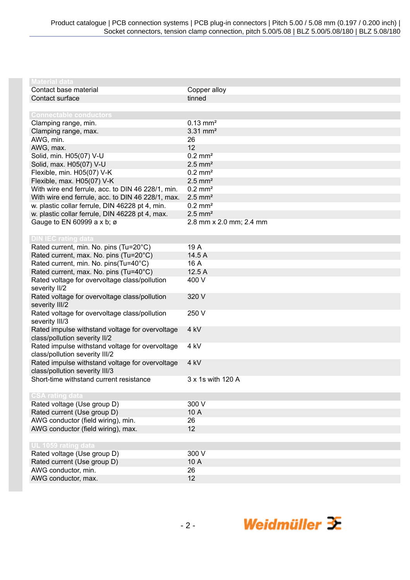| <b>Material data</b>                              |                         |
|---------------------------------------------------|-------------------------|
| Contact base material                             | Copper alloy            |
| Contact surface                                   | tinned                  |
|                                                   |                         |
| <b>Connectable conductors</b>                     |                         |
| Clamping range, min.                              | $0.13 \text{ mm}^2$     |
| Clamping range, max.                              | $3.31$ mm <sup>2</sup>  |
| AWG, min.                                         | 26                      |
| AWG, max.                                         | 12                      |
| Solid, min. H05(07) V-U                           | $0.2 \text{ mm}^2$      |
| Solid, max. H05(07) V-U                           | $2.5$ mm <sup>2</sup>   |
| Flexible, min. H05(07) V-K                        | $0.2$ mm <sup>2</sup>   |
| Flexible, max. H05(07) V-K                        | $2.5$ mm <sup>2</sup>   |
| With wire end ferrule, acc. to DIN 46 228/1, min. | $0.2$ mm <sup>2</sup>   |
| With wire end ferrule, acc. to DIN 46 228/1, max. | $2.5$ mm <sup>2</sup>   |
| w. plastic collar ferrule, DIN 46228 pt 4, min.   | $0.2$ mm <sup>2</sup>   |
| w. plastic collar ferrule, DIN 46228 pt 4, max.   | $2.5$ mm <sup>2</sup>   |
| Gauge to EN 60999 a x b; ø                        | 2.8 mm x 2.0 mm; 2.4 mm |
|                                                   |                         |
| <b>DIN IEC rating data</b>                        |                         |
| Rated current, min. No. pins (Tu=20°C)            | 19 A                    |
| Rated current, max. No. pins (Tu=20°C)            | 14.5 A                  |
| Rated current, min. No. pins(Tu=40°C)             | 16 A                    |
| Rated current, max. No. pins (Tu=40°C)            | 12.5 A                  |
| Rated voltage for overvoltage class/pollution     | 400 V                   |
| severity II/2                                     |                         |
| Rated voltage for overvoltage class/pollution     | 320 V                   |
| severity III/2                                    |                         |
| Rated voltage for overvoltage class/pollution     | 250 V                   |
| severity III/3                                    |                         |
| Rated impulse withstand voltage for overvoltage   | 4 kV                    |
| class/pollution severity II/2                     |                         |
| Rated impulse withstand voltage for overvoltage   | 4 kV                    |
| class/pollution severity III/2                    |                         |
| Rated impulse withstand voltage for overvoltage   | 4 kV                    |
| class/pollution severity III/3                    |                         |
| Short-time withstand current resistance           | 3 x 1s with 120 A       |
| <b>CSA rating data</b>                            |                         |
| Rated voltage (Use group D)                       | 300 V                   |
| Rated current (Use group D)                       | 10 A                    |
| AWG conductor (field wiring), min.                | 26                      |
| AWG conductor (field wiring), max.                | 12                      |
|                                                   |                         |
| UL 1059 rating data                               |                         |
| Rated voltage (Use group D)                       | 300 V                   |
| Rated current (Use group D)                       | 10 A                    |
| AWG conductor, min.                               | 26                      |
| AWG conductor, max.                               | 12                      |
|                                                   |                         |

Weidmüller  $\mathcal{F}$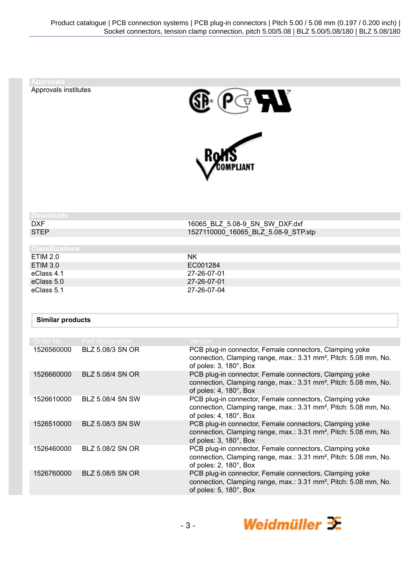| <b>Approvals</b>        |                         |                                                                                                                                                                   |
|-------------------------|-------------------------|-------------------------------------------------------------------------------------------------------------------------------------------------------------------|
| Approvals institutes    |                         | $\mathbf{V}$                                                                                                                                                      |
|                         |                         |                                                                                                                                                                   |
| <b>Downloads</b>        |                         |                                                                                                                                                                   |
| <b>DXF</b>              |                         | 16065 BLZ 5.08-9 SN SW DXF.dxf                                                                                                                                    |
| <b>STEP</b>             |                         | 1527110000_16065_BLZ_5.08-9_STP.stp                                                                                                                               |
| <b>Classifications</b>  |                         |                                                                                                                                                                   |
| <b>ETIM 2.0</b>         |                         | <b>NK</b>                                                                                                                                                         |
| <b>ETIM 3.0</b>         |                         | EC001284                                                                                                                                                          |
| eClass 4.1              |                         | 27-26-07-01                                                                                                                                                       |
| eClass 5.0              |                         | 27-26-07-01                                                                                                                                                       |
| eClass 5.1              |                         | 27-26-07-04                                                                                                                                                       |
| <b>Similar products</b> |                         |                                                                                                                                                                   |
| Order No.               | Part designation        | Version                                                                                                                                                           |
| 1526560000              | BLZ 5.08/3 SN OR        | PCB plug-in connector, Female connectors, Clamping yoke<br>connection, Clamping range, max.: 3.31 mm <sup>2</sup> , Pitch: 5.08 mm, No.<br>of poles: 3, 180°, Box |
| 1526660000              | <b>BLZ 5.08/4 SN OR</b> | PCB plug-in connector, Female connectors, Clamping yoke<br>connection, Clamping range, max.: 3.31 mm <sup>2</sup> , Pitch: 5.08 mm, No.<br>of poles: 4, 180°, Box |
| 1526610000              | BLZ 5.08/4 SN SW        | PCB plug-in connector, Female connectors, Clamping yoke<br>connection, Clamping range, max.: 3.31 mm <sup>2</sup> , Pitch: 5.08 mm, No.<br>of poles: 4, 180°, Box |
| 1526510000              | BLZ 5.08/3 SN SW        | PCB plug-in connector, Female connectors, Clamping yoke<br>connection, Clamping range, max.: 3.31 mm <sup>2</sup> , Pitch: 5.08 mm, No.                           |

1526460000 BLZ 5.08/2 SN OR PCB plug-in connector, Female connectors, Clamping yoke connection, Clamping range, max.: 3.31 mm², Pitch: 5.08 mm, No. of poles: 2, 180°, Box 1526760000 BLZ 5.08/5 SN OR PCB plug-in connector, Female connectors, Clamping yoke connection, Clamping range, max.: 3.31 mm², Pitch: 5.08 mm, No. of poles: 5, 180°, Box

of poles: 3, 180°, Box

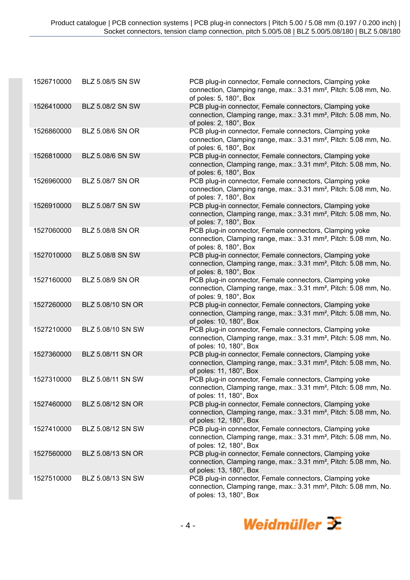| 1526710000 | BLZ 5.08/5 SN SW        | PCB plug-in connector, Female connectors, Clamping yoke<br>connection, Clamping range, max.: 3.31 mm <sup>2</sup> , Pitch: 5.08 mm, No.<br>of poles: 5, 180°, Box  |
|------------|-------------------------|--------------------------------------------------------------------------------------------------------------------------------------------------------------------|
| 1526410000 | BLZ 5.08/2 SN SW        | PCB plug-in connector, Female connectors, Clamping yoke<br>connection, Clamping range, max.: 3.31 mm <sup>2</sup> , Pitch: 5.08 mm, No.<br>of poles: 2, 180°, Box  |
| 1526860000 | BLZ 5.08/6 SN OR        | PCB plug-in connector, Female connectors, Clamping yoke<br>connection, Clamping range, max.: 3.31 mm <sup>2</sup> , Pitch: 5.08 mm, No.<br>of poles: 6, 180°, Box  |
| 1526810000 | BLZ 5.08/6 SN SW        | PCB plug-in connector, Female connectors, Clamping yoke<br>connection, Clamping range, max.: 3.31 mm <sup>2</sup> , Pitch: 5.08 mm, No.<br>of poles: 6, 180°, Box  |
| 1526960000 | BLZ 5.08/7 SN OR        | PCB plug-in connector, Female connectors, Clamping yoke<br>connection, Clamping range, max.: 3.31 mm <sup>2</sup> , Pitch: 5.08 mm, No.<br>of poles: 7, 180°, Box  |
| 1526910000 | BLZ 5.08/7 SN SW        | PCB plug-in connector, Female connectors, Clamping yoke<br>connection, Clamping range, max.: 3.31 mm <sup>2</sup> , Pitch: 5.08 mm, No.<br>of poles: 7, 180°, Box  |
| 1527060000 | BLZ 5.08/8 SN OR        | PCB plug-in connector, Female connectors, Clamping yoke<br>connection, Clamping range, max.: 3.31 mm <sup>2</sup> , Pitch: 5.08 mm, No.<br>of poles: 8, 180°, Box  |
| 1527010000 | <b>BLZ 5.08/8 SN SW</b> | PCB plug-in connector, Female connectors, Clamping yoke<br>connection, Clamping range, max.: 3.31 mm <sup>2</sup> , Pitch: 5.08 mm, No.<br>of poles: 8, 180°, Box  |
| 1527160000 | BLZ 5.08/9 SN OR        | PCB plug-in connector, Female connectors, Clamping yoke<br>connection, Clamping range, max.: 3.31 mm <sup>2</sup> , Pitch: 5.08 mm, No.<br>of poles: 9, 180°, Box  |
| 1527260000 | BLZ 5.08/10 SN OR       | PCB plug-in connector, Female connectors, Clamping yoke<br>connection, Clamping range, max.: 3.31 mm <sup>2</sup> , Pitch: 5.08 mm, No.<br>of poles: 10, 180°, Box |
| 1527210000 | BLZ 5.08/10 SN SW       | PCB plug-in connector, Female connectors, Clamping yoke<br>connection, Clamping range, max.: 3.31 mm <sup>2</sup> , Pitch: 5.08 mm, No.<br>of poles: 10, 180°, Box |
| 1527360000 | BLZ 5.08/11 SN OR       | PCB plug-in connector, Female connectors, Clamping yoke<br>connection, Clamping range, max.: 3.31 mm <sup>2</sup> , Pitch: 5.08 mm, No.<br>of poles: 11, 180°, Box |
| 1527310000 | BLZ 5.08/11 SN SW       | PCB plug-in connector, Female connectors, Clamping yoke<br>connection, Clamping range, max.: 3.31 mm <sup>2</sup> , Pitch: 5.08 mm, No.<br>of poles: 11, 180°, Box |
| 1527460000 | BLZ 5.08/12 SN OR       | PCB plug-in connector, Female connectors, Clamping yoke<br>connection, Clamping range, max.: 3.31 mm <sup>2</sup> , Pitch: 5.08 mm, No.<br>of poles: 12, 180°, Box |
| 1527410000 | BLZ 5.08/12 SN SW       | PCB plug-in connector, Female connectors, Clamping yoke<br>connection, Clamping range, max.: 3.31 mm <sup>2</sup> , Pitch: 5.08 mm, No.<br>of poles: 12, 180°, Box |
| 1527560000 | BLZ 5.08/13 SN OR       | PCB plug-in connector, Female connectors, Clamping yoke<br>connection, Clamping range, max.: 3.31 mm <sup>2</sup> , Pitch: 5.08 mm, No.<br>of poles: 13, 180°, Box |
| 1527510000 | BLZ 5.08/13 SN SW       | PCB plug-in connector, Female connectors, Clamping yoke<br>connection, Clamping range, max.: 3.31 mm <sup>2</sup> , Pitch: 5.08 mm, No.<br>of poles: 13, 180°, Box |

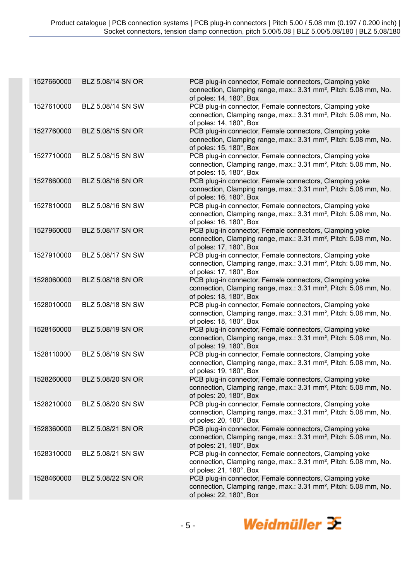| 1527660000 | BLZ 5.08/14 SN OR | PCB plug-in connector, Female connectors, Clamping yoke<br>connection, Clamping range, max.: 3.31 mm <sup>2</sup> , Pitch: 5.08 mm, No.<br>of poles: 14, 180°, Box |
|------------|-------------------|--------------------------------------------------------------------------------------------------------------------------------------------------------------------|
| 1527610000 | BLZ 5.08/14 SN SW | PCB plug-in connector, Female connectors, Clamping yoke<br>connection, Clamping range, max.: 3.31 mm <sup>2</sup> , Pitch: 5.08 mm, No.<br>of poles: 14, 180°, Box |
| 1527760000 | BLZ 5.08/15 SN OR | PCB plug-in connector, Female connectors, Clamping yoke<br>connection, Clamping range, max.: 3.31 mm <sup>2</sup> , Pitch: 5.08 mm, No.<br>of poles: 15, 180°, Box |
| 1527710000 | BLZ 5.08/15 SN SW | PCB plug-in connector, Female connectors, Clamping yoke<br>connection, Clamping range, max.: 3.31 mm <sup>2</sup> , Pitch: 5.08 mm, No.<br>of poles: 15, 180°, Box |
| 1527860000 | BLZ 5.08/16 SN OR | PCB plug-in connector, Female connectors, Clamping yoke<br>connection, Clamping range, max.: 3.31 mm <sup>2</sup> , Pitch: 5.08 mm, No.<br>of poles: 16, 180°, Box |
| 1527810000 | BLZ 5.08/16 SN SW | PCB plug-in connector, Female connectors, Clamping yoke<br>connection, Clamping range, max.: 3.31 mm <sup>2</sup> , Pitch: 5.08 mm, No.<br>of poles: 16, 180°, Box |
| 1527960000 | BLZ 5.08/17 SN OR | PCB plug-in connector, Female connectors, Clamping yoke<br>connection, Clamping range, max.: 3.31 mm <sup>2</sup> , Pitch: 5.08 mm, No.<br>of poles: 17, 180°, Box |
| 1527910000 | BLZ 5.08/17 SN SW | PCB plug-in connector, Female connectors, Clamping yoke<br>connection, Clamping range, max.: 3.31 mm <sup>2</sup> , Pitch: 5.08 mm, No.<br>of poles: 17, 180°, Box |
| 1528060000 | BLZ 5.08/18 SN OR | PCB plug-in connector, Female connectors, Clamping yoke<br>connection, Clamping range, max.: 3.31 mm <sup>2</sup> , Pitch: 5.08 mm, No.<br>of poles: 18, 180°, Box |
| 1528010000 | BLZ 5.08/18 SN SW | PCB plug-in connector, Female connectors, Clamping yoke<br>connection, Clamping range, max.: 3.31 mm <sup>2</sup> , Pitch: 5.08 mm, No.<br>of poles: 18, 180°, Box |
| 1528160000 | BLZ 5.08/19 SN OR | PCB plug-in connector, Female connectors, Clamping yoke<br>connection, Clamping range, max.: 3.31 mm <sup>2</sup> , Pitch: 5.08 mm, No.<br>of poles: 19, 180°, Box |
| 1528110000 | BLZ 5.08/19 SN SW | PCB plug-in connector, Female connectors, Clamping yoke<br>connection, Clamping range, max.: 3.31 mm <sup>2</sup> , Pitch: 5.08 mm, No.<br>of poles: 19, 180°, Box |
| 1528260000 | BLZ 5.08/20 SN OR | PCB plug-in connector, Female connectors, Clamping yoke<br>connection, Clamping range, max.: 3.31 mm <sup>2</sup> , Pitch: 5.08 mm, No.<br>of poles: 20, 180°, Box |
| 1528210000 | BLZ 5.08/20 SN SW | PCB plug-in connector, Female connectors, Clamping yoke<br>connection, Clamping range, max.: 3.31 mm <sup>2</sup> , Pitch: 5.08 mm, No.<br>of poles: 20, 180°, Box |
| 1528360000 | BLZ 5.08/21 SN OR | PCB plug-in connector, Female connectors, Clamping yoke<br>connection, Clamping range, max.: 3.31 mm <sup>2</sup> , Pitch: 5.08 mm, No.<br>of poles: 21, 180°, Box |
| 1528310000 | BLZ 5.08/21 SN SW | PCB plug-in connector, Female connectors, Clamping yoke<br>connection, Clamping range, max.: 3.31 mm <sup>2</sup> , Pitch: 5.08 mm, No.<br>of poles: 21, 180°, Box |
| 1528460000 | BLZ 5.08/22 SN OR | PCB plug-in connector, Female connectors, Clamping yoke<br>connection, Clamping range, max.: 3.31 mm <sup>2</sup> , Pitch: 5.08 mm, No.<br>of poles: 22, 180°, Box |
|            |                   |                                                                                                                                                                    |